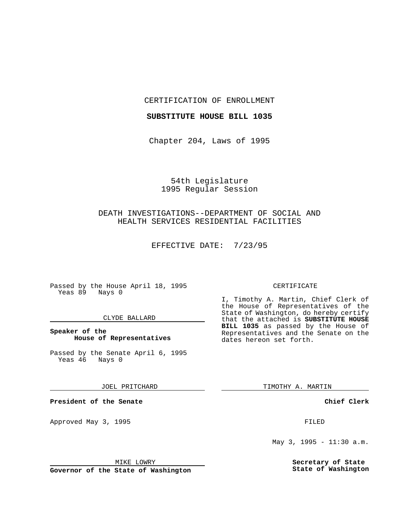CERTIFICATION OF ENROLLMENT

#### **SUBSTITUTE HOUSE BILL 1035**

Chapter 204, Laws of 1995

## 54th Legislature 1995 Regular Session

# DEATH INVESTIGATIONS--DEPARTMENT OF SOCIAL AND HEALTH SERVICES RESIDENTIAL FACILITIES

EFFECTIVE DATE: 7/23/95

Passed by the House April 18, 1995 Yeas 89 Nays 0

#### CLYDE BALLARD

### **Speaker of the House of Representatives**

Passed by the Senate April 6, 1995<br>Yeas 46 Nays 0 Yeas 46

JOEL PRITCHARD

**President of the Senate**

Approved May 3, 1995 **FILED** 

#### MIKE LOWRY

**Governor of the State of Washington**

#### CERTIFICATE

I, Timothy A. Martin, Chief Clerk of the House of Representatives of the State of Washington, do hereby certify that the attached is **SUBSTITUTE HOUSE BILL 1035** as passed by the House of Representatives and the Senate on the dates hereon set forth.

TIMOTHY A. MARTIN

**Chief Clerk**

May 3, 1995 - 11:30 a.m.

**Secretary of State State of Washington**